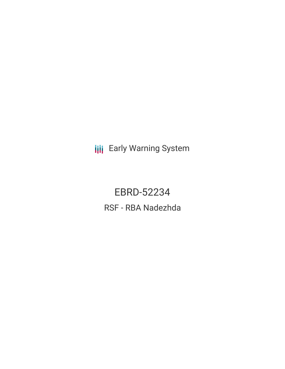**III** Early Warning System

EBRD-52234 RSF - RBA Nadezhda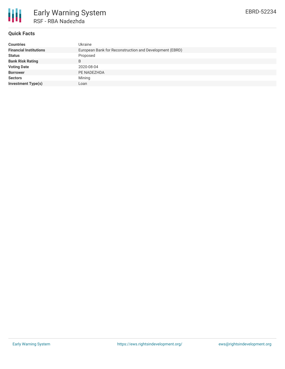

# **Quick Facts**

| Ukraine                                                 |
|---------------------------------------------------------|
| European Bank for Reconstruction and Development (EBRD) |
| Proposed                                                |
| B                                                       |
| 2020-08-04                                              |
| PE NADEZHDA                                             |
| Mining                                                  |
| Loan                                                    |
|                                                         |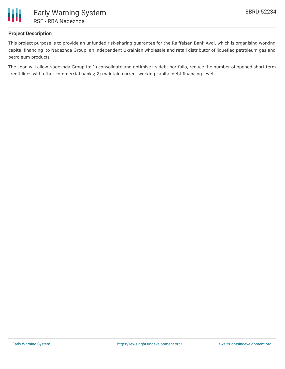

# **Project Description**

This project purpose is to provide an unfunded risk-sharing guarantee for the Raiffeisen Bank Aval, which is organising working capital financing to Nadezhda Group, an independent Ukrainian wholesale and retail distributor of liquefied petroleum gas and petroleum products

The Loan will allow Nadezhda Group to: 1) consolidate and optimise its debt portfolio, reduce the number of opened short-term credit lines with other commercial banks; 2) maintain current working capital debt financing level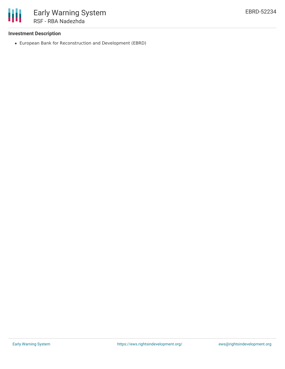

### **Investment Description**

European Bank for Reconstruction and Development (EBRD)